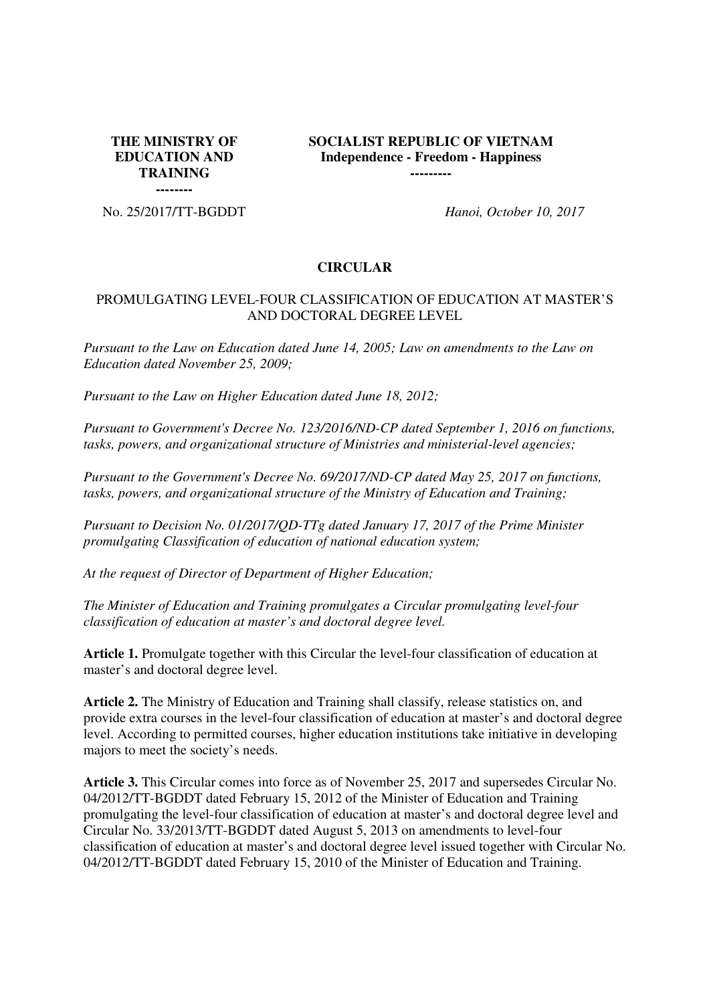**THE MINISTRY OF EDUCATION AND TRAINING** 

**SOCIALIST REPUBLIC OF VIETNAM Independence - Freedom - Happiness ---------**

**--------** No. 25/2017/TT-BGDDT *Hanoi, October 10, 2017* 

#### **CIRCULAR**

#### PROMULGATING LEVEL-FOUR CLASSIFICATION OF EDUCATION AT MASTER'S AND DOCTORAL DEGREE LEVEL

*Pursuant to the Law on Education dated June 14, 2005; Law on amendments to the Law on Education dated November 25, 2009;*

*Pursuant to the Law on Higher Education dated June 18, 2012;*

*Pursuant to Government's Decree No. 123/2016/ND-CP dated September 1, 2016 on functions, tasks, powers, and organizational structure of Ministries and ministerial-level agencies;*

*Pursuant to the Government's Decree No. 69/2017/ND-CP dated May 25, 2017 on functions, tasks, powers, and organizational structure of the Ministry of Education and Training;*

*Pursuant to Decision No. 01/2017/QD-TTg dated January 17, 2017 of the Prime Minister promulgating Classification of education of national education system;*

*At the request of Director of Department of Higher Education;*

*The Minister of Education and Training promulgates a Circular promulgating level-four classification of education at master's and doctoral degree level.*

**Article 1.** Promulgate together with this Circular the level-four classification of education at master's and doctoral degree level.

**Article 2.** The Ministry of Education and Training shall classify, release statistics on, and provide extra courses in the level-four classification of education at master's and doctoral degree level. According to permitted courses, higher education institutions take initiative in developing majors to meet the society's needs.

**Article 3.** This Circular comes into force as of November 25, 2017 and supersedes Circular No. 04/2012/TT-BGDDT dated February 15, 2012 of the Minister of Education and Training promulgating the level-four classification of education at master's and doctoral degree level and Circular No. 33/2013/TT-BGDDT dated August 5, 2013 on amendments to level-four classification of education at master's and doctoral degree level issued together with Circular No. 04/2012/TT-BGDDT dated February 15, 2010 of the Minister of Education and Training.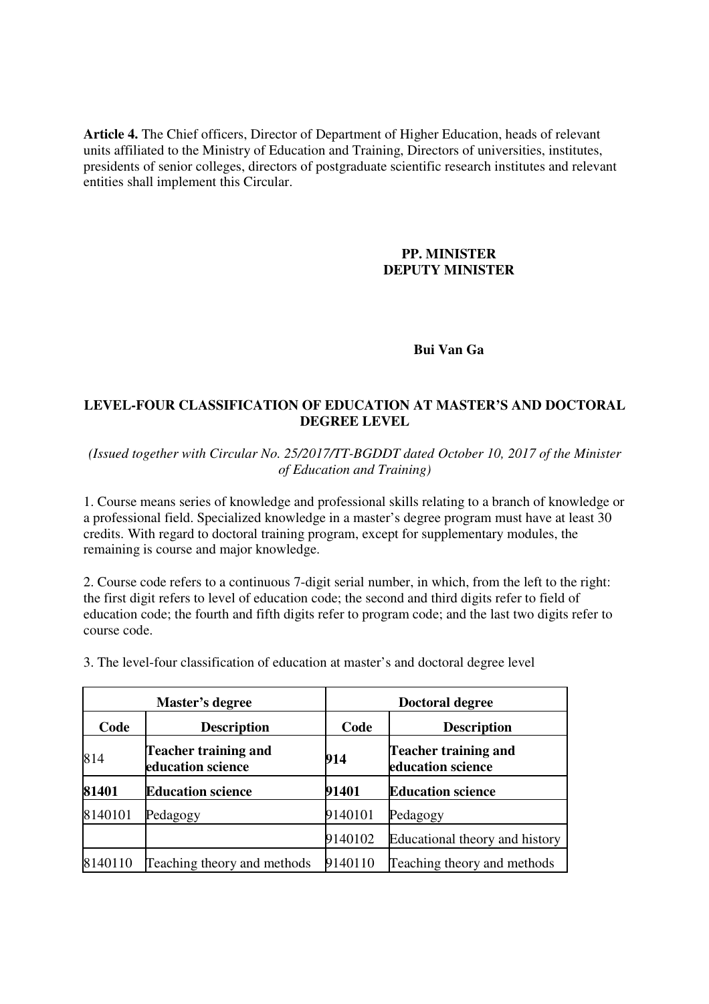**Article 4.** The Chief officers, Director of Department of Higher Education, heads of relevant units affiliated to the Ministry of Education and Training, Directors of universities, institutes, presidents of senior colleges, directors of postgraduate scientific research institutes and relevant entities shall implement this Circular.

### **PP. MINISTER DEPUTY MINISTER**

# **Bui Van Ga**

## **LEVEL-FOUR CLASSIFICATION OF EDUCATION AT MASTER'S AND DOCTORAL DEGREE LEVEL**

*(Issued together with Circular No. 25/2017/TT-BGDDT dated October 10, 2017 of the Minister of Education and Training)*

1. Course means series of knowledge and professional skills relating to a branch of knowledge or a professional field. Specialized knowledge in a master's degree program must have at least 30 credits. With regard to doctoral training program, except for supplementary modules, the remaining is course and major knowledge.

2. Course code refers to a continuous 7-digit serial number, in which, from the left to the right: the first digit refers to level of education code; the second and third digits refer to field of education code; the fourth and fifth digits refer to program code; and the last two digits refer to course code.

3. The level-four classification of education at master's and doctoral degree level

|         | Master's degree                                  |         | Doctoral degree                                  |
|---------|--------------------------------------------------|---------|--------------------------------------------------|
| Code    | <b>Description</b>                               | Code    | <b>Description</b>                               |
| 814     | <b>Teacher training and</b><br>education science | 914     | <b>Teacher training and</b><br>education science |
| 81401   | <b>Education science</b>                         | 91401   | <b>Education science</b>                         |
| 8140101 | Pedagogy                                         | 9140101 | Pedagogy                                         |
|         |                                                  | 9140102 | Educational theory and history                   |
| 8140110 | Teaching theory and methods                      | 9140110 | Teaching theory and methods                      |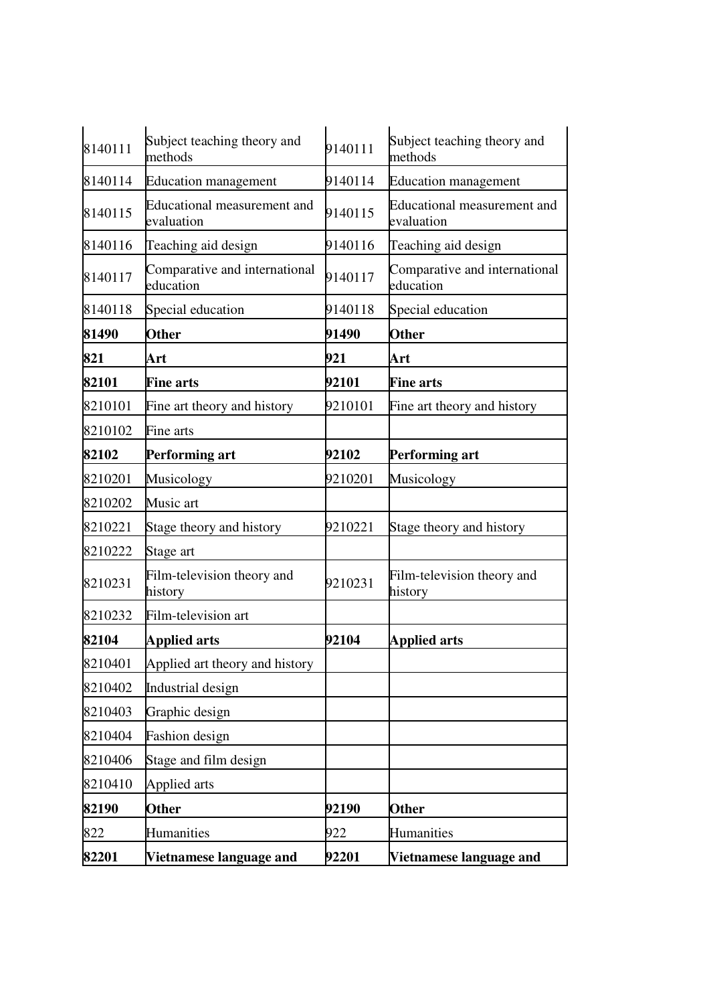| 8140111 | Subject teaching theory and<br>methods     | 9140111 | Subject teaching theory and<br>methods     |
|---------|--------------------------------------------|---------|--------------------------------------------|
| 8140114 | <b>Education management</b>                | 9140114 | <b>Education management</b>                |
| 8140115 | Educational measurement and<br>evaluation  | 9140115 | Educational measurement and<br>evaluation  |
| 8140116 | Teaching aid design                        | 9140116 | Teaching aid design                        |
| 8140117 | Comparative and international<br>education | 9140117 | Comparative and international<br>education |
| 8140118 | Special education                          | 9140118 | Special education                          |
| 81490   | <b>Other</b>                               | 91490   | <b>Other</b>                               |
| 821     | Art                                        | 921     | Art                                        |
| 82101   | <b>Fine arts</b>                           | 92101   | <b>Fine arts</b>                           |
| 8210101 | Fine art theory and history                | 9210101 | Fine art theory and history                |
| 8210102 | Fine arts                                  |         |                                            |
| 82102   | <b>Performing art</b>                      | 92102   | <b>Performing art</b>                      |
| 8210201 | Musicology                                 | 9210201 | Musicology                                 |
| 8210202 | Music art                                  |         |                                            |
| 8210221 | Stage theory and history                   | 9210221 | Stage theory and history                   |
| 8210222 | Stage art                                  |         |                                            |
| 8210231 | Film-television theory and<br>history      | 9210231 | Film-television theory and<br>history      |
| 8210232 | Film-television art                        |         |                                            |
| 82104   | <b>Applied arts</b>                        | 92104   | <b>Applied arts</b>                        |
| 8210401 | Applied art theory and history             |         |                                            |
| 8210402 | Industrial design                          |         |                                            |
| 8210403 | Graphic design                             |         |                                            |
| 8210404 | <b>Fashion</b> design                      |         |                                            |
| 8210406 | Stage and film design                      |         |                                            |
| 8210410 | Applied arts                               |         |                                            |
| 82190   | <b>Other</b>                               | 92190   | <b>Other</b>                               |
| 822     | Humanities                                 | 922     | Humanities                                 |
| 82201   | Vietnamese language and                    | 92201   | Vietnamese language and                    |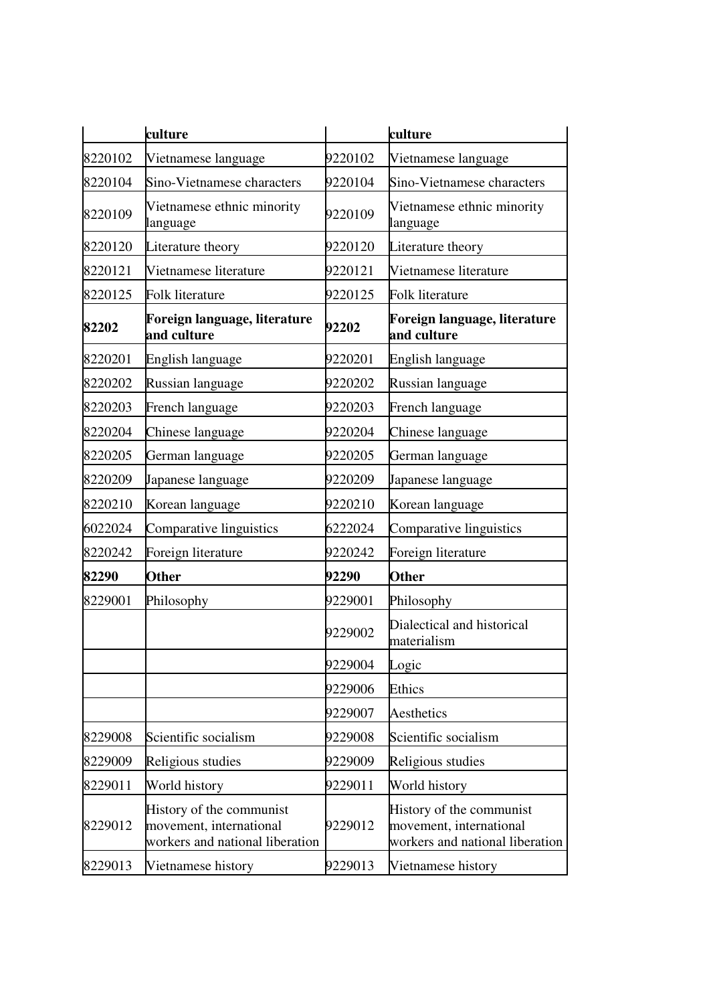|         | culture                                                                                |         | culture                                                                                |
|---------|----------------------------------------------------------------------------------------|---------|----------------------------------------------------------------------------------------|
| 8220102 | Vietnamese language                                                                    | 9220102 | Vietnamese language                                                                    |
| 8220104 | Sino-Vietnamese characters                                                             | 9220104 | Sino-Vietnamese characters                                                             |
| 8220109 | Vietnamese ethnic minority<br>language                                                 | 9220109 | Vietnamese ethnic minority<br>language                                                 |
| 8220120 | Literature theory                                                                      | 9220120 | Literature theory                                                                      |
| 8220121 | Vietnamese literature                                                                  | 9220121 | Vietnamese literature                                                                  |
| 8220125 | <b>Folk literature</b>                                                                 | 9220125 | Folk literature                                                                        |
| 82202   | Foreign language, literature<br>and culture                                            | 92202   | Foreign language, literature<br>and culture                                            |
| 8220201 | English language                                                                       | 9220201 | English language                                                                       |
| 8220202 | Russian language                                                                       | 9220202 | Russian language                                                                       |
| 8220203 | French language                                                                        | 9220203 | French language                                                                        |
| 8220204 | Chinese language                                                                       | 9220204 | Chinese language                                                                       |
| 8220205 | German language                                                                        | 9220205 | German language                                                                        |
| 8220209 | Japanese language                                                                      | 9220209 | Japanese language                                                                      |
| 8220210 | Korean language                                                                        | 9220210 | Korean language                                                                        |
| 6022024 | Comparative linguistics                                                                | 6222024 | Comparative linguistics                                                                |
| 8220242 | Foreign literature                                                                     | 9220242 | Foreign literature                                                                     |
| 82290   | <b>Other</b>                                                                           | 92290   | <b>Other</b>                                                                           |
| 8229001 | Philosophy                                                                             | 9229001 | Philosophy                                                                             |
|         |                                                                                        | 9229002 | Dialectical and historical<br>materialism                                              |
|         |                                                                                        | 9229004 | Logic                                                                                  |
|         |                                                                                        | 9229006 | <b>Ethics</b>                                                                          |
|         |                                                                                        | 9229007 | Aesthetics                                                                             |
| 8229008 | Scientific socialism                                                                   | 9229008 | Scientific socialism                                                                   |
| 8229009 | Religious studies                                                                      | 9229009 | Religious studies                                                                      |
| 8229011 | World history                                                                          | 9229011 | World history                                                                          |
| 8229012 | History of the communist<br>movement, international<br>workers and national liberation | 9229012 | History of the communist<br>movement, international<br>workers and national liberation |
| 8229013 | Vietnamese history                                                                     | 9229013 | Vietnamese history                                                                     |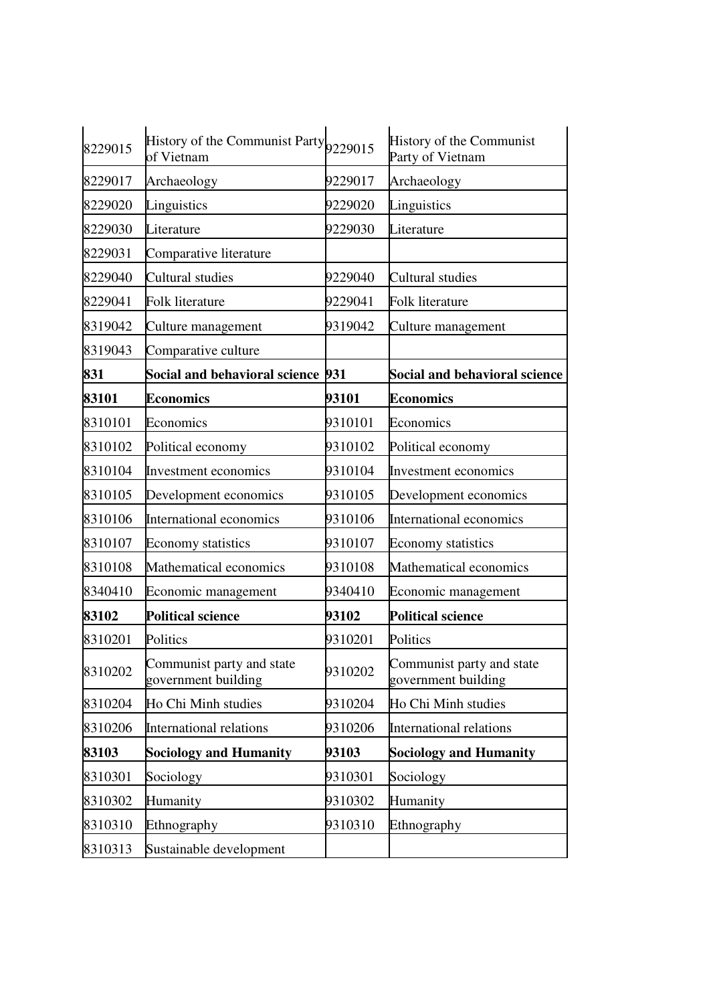| 8229015 | History of the Communist Party 9229015<br>of Vietnam |         | History of the Communist<br>Party of Vietnam     |
|---------|------------------------------------------------------|---------|--------------------------------------------------|
| 8229017 | Archaeology                                          | 9229017 | Archaeology                                      |
| 8229020 | Linguistics                                          | 9229020 | Linguistics                                      |
| 8229030 | Literature                                           | 9229030 | Literature                                       |
| 8229031 | Comparative literature                               |         |                                                  |
| 8229040 | Cultural studies                                     | 9229040 | Cultural studies                                 |
| 8229041 | Folk literature                                      | 9229041 | Folk literature                                  |
| 8319042 | Culture management                                   | 9319042 | Culture management                               |
| 8319043 | Comparative culture                                  |         |                                                  |
| 831     | Social and behavioral science 931                    |         | <b>Social and behavioral science</b>             |
| 83101   | <b>Economics</b>                                     | 93101   | <b>Economics</b>                                 |
| 8310101 | Economics                                            | 9310101 | Economics                                        |
| 8310102 | Political economy                                    | 9310102 | Political economy                                |
| 8310104 | Investment economics                                 | 9310104 | Investment economics                             |
| 8310105 | Development economics                                | 9310105 | Development economics                            |
| 8310106 | International economics                              | 9310106 | International economics                          |
| 8310107 | <b>Economy statistics</b>                            | 9310107 | Economy statistics                               |
| 8310108 | Mathematical economics                               | 9310108 | Mathematical economics                           |
| 8340410 | Economic management                                  | 9340410 | Economic management                              |
| 83102   | <b>Political science</b>                             | 93102   | <b>Political science</b>                         |
| 8310201 | Politics                                             | 9310201 | Politics                                         |
| 8310202 | Communist party and state<br>government building     | 9310202 | Communist party and state<br>government building |
| 8310204 | Ho Chi Minh studies                                  | 9310204 | Ho Chi Minh studies                              |
| 8310206 | International relations                              | 9310206 | <b>International relations</b>                   |
| 83103   | <b>Sociology and Humanity</b>                        | 93103   | <b>Sociology and Humanity</b>                    |
| 8310301 | Sociology                                            | 9310301 | Sociology                                        |
| 8310302 | Humanity                                             | 9310302 | Humanity                                         |
| 8310310 | Ethnography                                          | 9310310 | Ethnography                                      |
| 8310313 | Sustainable development                              |         |                                                  |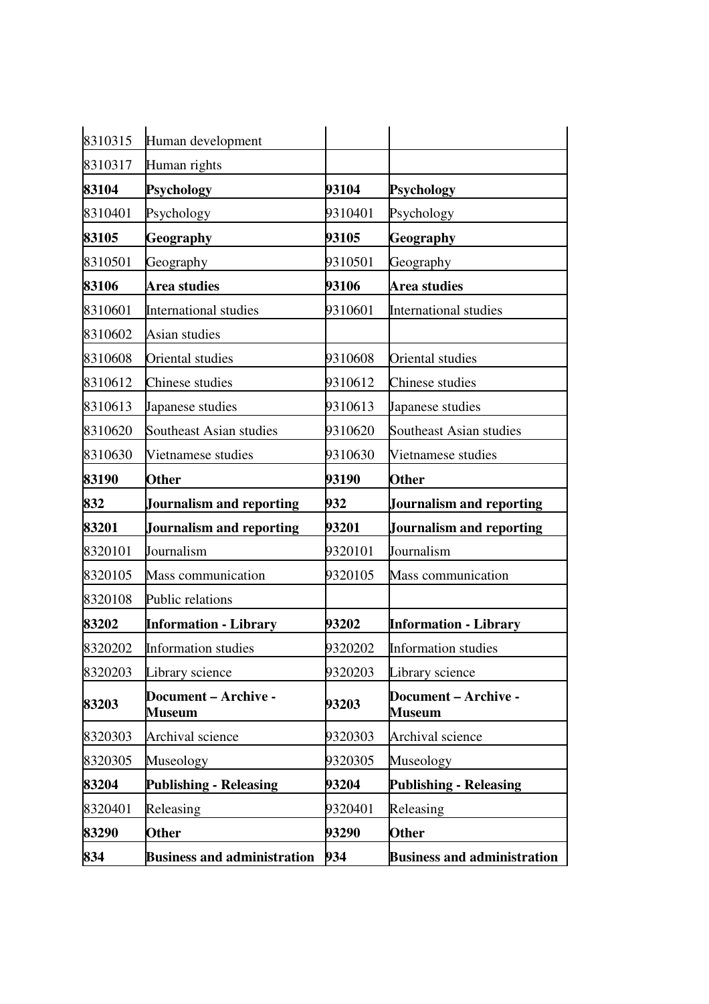| 8310315 | Human development                     |         |                                       |
|---------|---------------------------------------|---------|---------------------------------------|
| 8310317 | Human rights                          |         |                                       |
| 83104   | <b>Psychology</b>                     | 93104   | <b>Psychology</b>                     |
| 8310401 | Psychology                            | 9310401 | Psychology                            |
| 83105   | Geography                             | 93105   | Geography                             |
| 8310501 | Geography                             | 9310501 | Geography                             |
| 83106   | Area studies                          | 93106   | Area studies                          |
| 8310601 | <b>International studies</b>          | 9310601 | <b>International studies</b>          |
| 8310602 | Asian studies                         |         |                                       |
| 8310608 | Oriental studies                      | 9310608 | Oriental studies                      |
| 8310612 | Chinese studies                       | 9310612 | Chinese studies                       |
| 8310613 | Japanese studies                      | 9310613 | Japanese studies                      |
| 8310620 | Southeast Asian studies               | 9310620 | Southeast Asian studies               |
| 8310630 | Vietnamese studies                    | 9310630 | Vietnamese studies                    |
| 83190   | <b>Other</b>                          | 93190   | Other                                 |
| 832     | <b>Journalism and reporting</b>       | 932     | <b>Journalism and reporting</b>       |
| 83201   | <b>Journalism and reporting</b>       | 93201   | <b>Journalism and reporting</b>       |
|         |                                       |         |                                       |
| 8320101 | Journalism                            | 9320101 | Journalism                            |
| 8320105 | <b>Mass communication</b>             | 9320105 | <b>Mass communication</b>             |
| 8320108 | Public relations                      |         |                                       |
| 83202   | <b>Information - Library</b>          | 93202   | <b>Information - Library</b>          |
| 8320202 | <b>Information studies</b>            | 9320202 | <b>Information studies</b>            |
| 8320203 | Library science                       | 9320203 | Library science                       |
| 83203   | Document - Archive -<br><b>Museum</b> | 93203   | Document - Archive -<br><b>Museum</b> |
| 8320303 | Archival science                      | 9320303 | Archival science                      |
| 8320305 | Museology                             | 9320305 | Museology                             |
| 83204   | <b>Publishing - Releasing</b>         | 93204   | <b>Publishing - Releasing</b>         |
| 8320401 | Releasing                             | 9320401 | Releasing                             |
| 83290   | <b>Other</b>                          | 93290   | <b>Other</b>                          |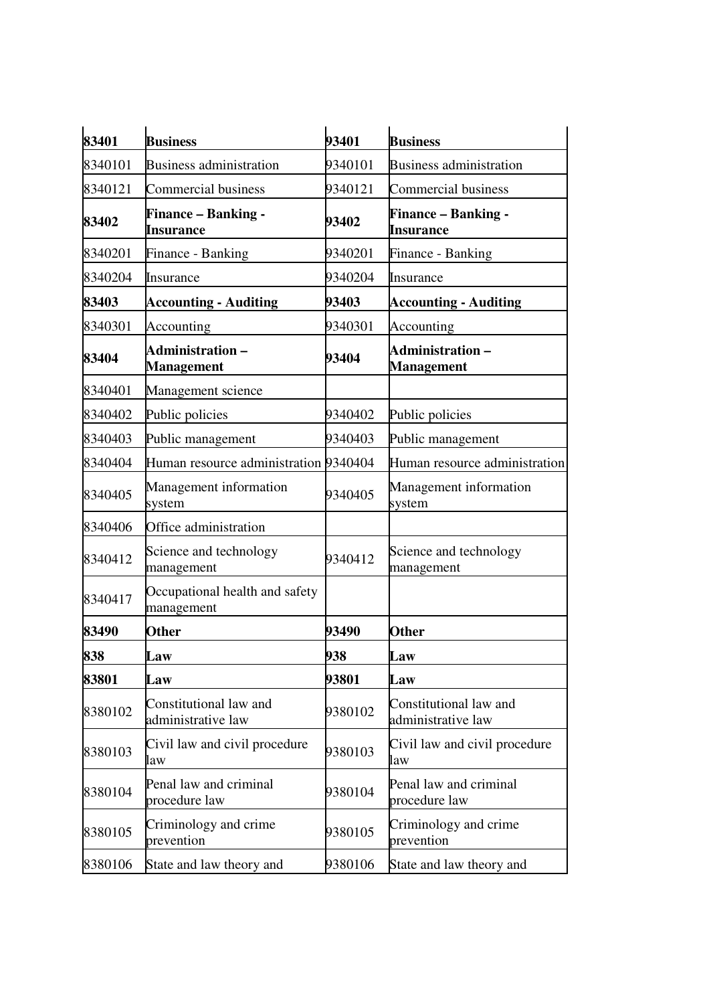| 83401   | <b>Business</b>                              | 93401   | <b>Business</b>                              |
|---------|----------------------------------------------|---------|----------------------------------------------|
| 8340101 | <b>Business administration</b>               | 9340101 | <b>Business administration</b>               |
| 8340121 | Commercial business                          | 9340121 | <b>Commercial business</b>                   |
| 83402   | <b>Finance – Banking -</b><br>Insurance      | 93402   | <b>Finance – Banking -</b><br>Insurance      |
| 8340201 | Finance - Banking                            | 9340201 | Finance - Banking                            |
| 8340204 | Insurance                                    | 9340204 | Insurance                                    |
| 83403   | <b>Accounting - Auditing</b>                 | 93403   | <b>Accounting - Auditing</b>                 |
| 8340301 | Accounting                                   | 9340301 | Accounting                                   |
| 83404   | <b>Administration –</b><br><b>Management</b> | 93404   | <b>Administration –</b><br><b>Management</b> |
| 8340401 | Management science                           |         |                                              |
| 8340402 | Public policies                              | 9340402 | Public policies                              |
| 8340403 | Public management                            | 9340403 | Public management                            |
| 8340404 | Human resource administration 9340404        |         | Human resource administration                |
| 8340405 | Management information<br>system             | 9340405 | Management information<br>system             |
| 8340406 | Office administration                        |         |                                              |
| 8340412 | Science and technology<br>management         | 9340412 | Science and technology<br>management         |
| 8340417 | Occupational health and safety<br>management |         |                                              |
| 83490   | <b>Other</b>                                 | 93490   | <b>Other</b>                                 |
| 838     | Law                                          | 938     | Law                                          |
| 83801   | Law                                          | 93801   | Law                                          |
| 8380102 | Constitutional law and<br>administrative law | 9380102 | Constitutional law and<br>administrative law |
| 8380103 | Civil law and civil procedure<br>law         | 9380103 | Civil law and civil procedure<br>law         |
| 8380104 | Penal law and criminal<br>procedure law      | 9380104 | Penal law and criminal<br>procedure law      |
| 8380105 | Criminology and crime<br>prevention          | 9380105 | Criminology and crime<br>prevention          |
| 8380106 | State and law theory and                     | 9380106 | State and law theory and                     |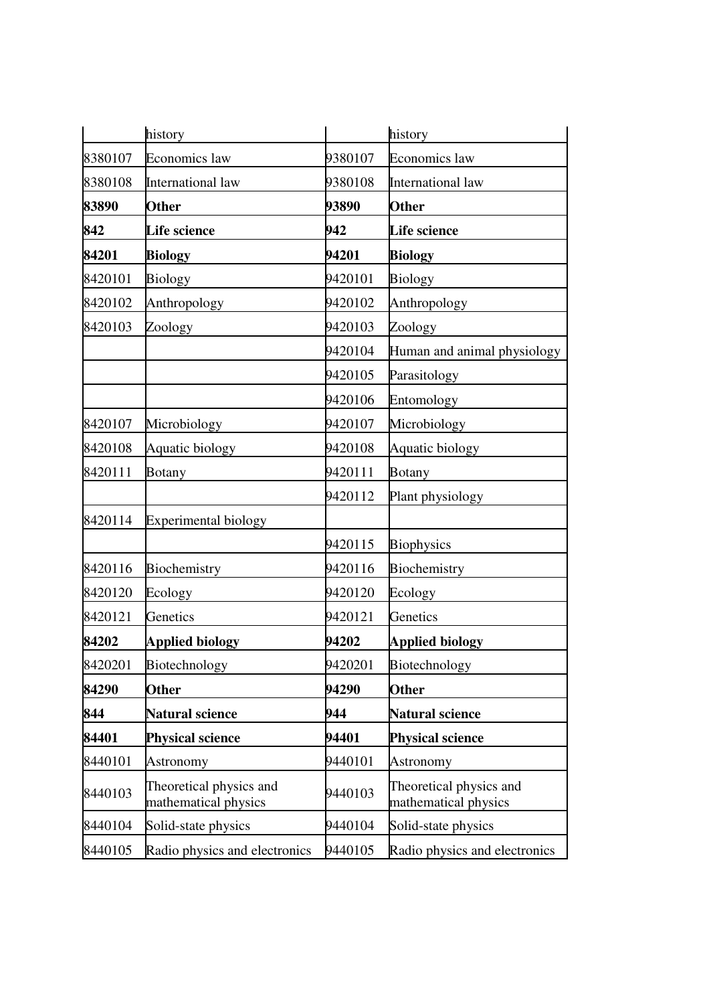|         | history                                         |         | history                                         |
|---------|-------------------------------------------------|---------|-------------------------------------------------|
| 8380107 | <b>Economics</b> law                            | 9380107 | Economics law                                   |
| 8380108 | International law                               | 9380108 | International law                               |
| 83890   | <b>Other</b>                                    | 93890   | <b>Other</b>                                    |
| 842     | <b>Life science</b>                             | 942     | <b>Life science</b>                             |
| 84201   | <b>Biology</b>                                  | 94201   | <b>Biology</b>                                  |
| 8420101 | <b>Biology</b>                                  | 9420101 | <b>Biology</b>                                  |
| 8420102 | Anthropology                                    | 9420102 | Anthropology                                    |
| 8420103 | Zoology                                         | 9420103 | Zoology                                         |
|         |                                                 | 9420104 | Human and animal physiology                     |
|         |                                                 | 9420105 | Parasitology                                    |
|         |                                                 | 9420106 | Entomology                                      |
| 8420107 | Microbiology                                    | 9420107 | Microbiology                                    |
| 8420108 | Aquatic biology                                 | 9420108 | Aquatic biology                                 |
| 8420111 | <b>Botany</b>                                   | 9420111 | <b>Botany</b>                                   |
|         |                                                 | 9420112 | Plant physiology                                |
| 8420114 | Experimental biology                            |         |                                                 |
|         |                                                 | 9420115 | <b>Biophysics</b>                               |
| 8420116 | Biochemistry                                    | 9420116 | Biochemistry                                    |
| 8420120 | Ecology                                         | 9420120 | Ecology                                         |
| 8420121 | Genetics                                        | 9420121 | Genetics                                        |
| 84202   | <b>Applied biology</b>                          | 94202   | <b>Applied biology</b>                          |
| 8420201 | Biotechnology                                   | 9420201 | Biotechnology                                   |
| 84290   | <b>Other</b>                                    | 94290   | <b>Other</b>                                    |
| 844     | <b>Natural science</b>                          | 944     | <b>Natural science</b>                          |
| 84401   | <b>Physical science</b>                         | 94401   | <b>Physical science</b>                         |
| 8440101 | Astronomy                                       | 9440101 | Astronomy                                       |
| 8440103 | Theoretical physics and<br>mathematical physics | 9440103 | Theoretical physics and<br>mathematical physics |
| 8440104 | Solid-state physics                             | 9440104 | Solid-state physics                             |
| 8440105 | Radio physics and electronics                   | 9440105 | Radio physics and electronics                   |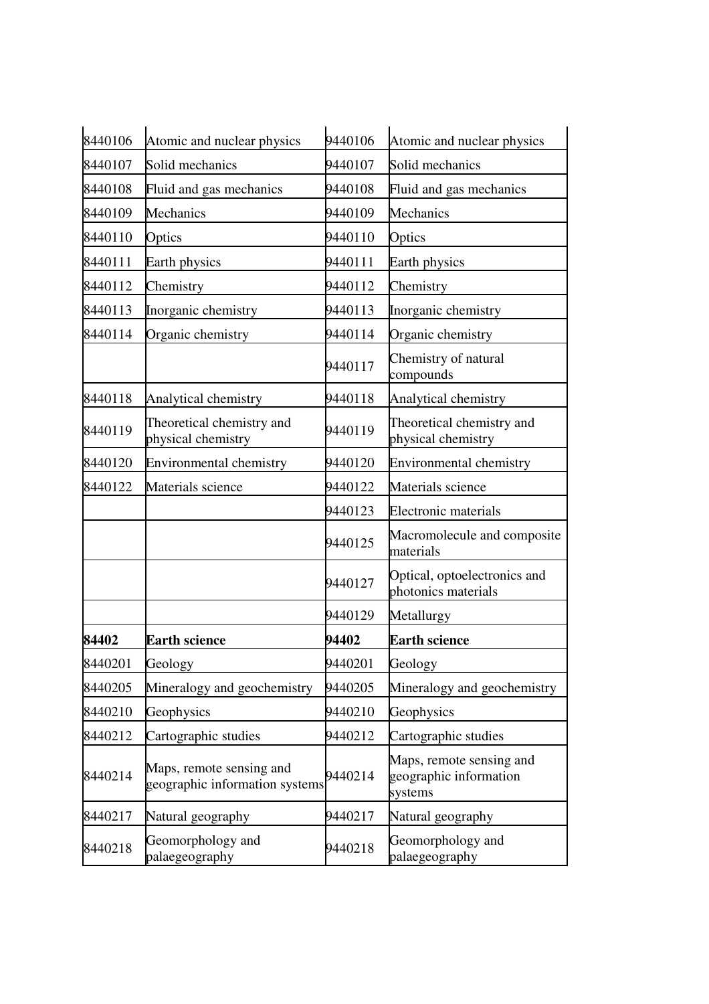| 8440106 | Atomic and nuclear physics                                 | 9440106 | Atomic and nuclear physics                                    |
|---------|------------------------------------------------------------|---------|---------------------------------------------------------------|
| 8440107 | Solid mechanics                                            | 9440107 | Solid mechanics                                               |
| 8440108 | Fluid and gas mechanics                                    | 9440108 | Fluid and gas mechanics                                       |
| 8440109 | Mechanics                                                  | 9440109 | Mechanics                                                     |
| 8440110 | Optics                                                     | 9440110 | Optics                                                        |
| 8440111 | Earth physics                                              | 9440111 | Earth physics                                                 |
| 8440112 | Chemistry                                                  | 9440112 | Chemistry                                                     |
| 8440113 | Inorganic chemistry                                        | 9440113 | Inorganic chemistry                                           |
| 8440114 | Organic chemistry                                          | 9440114 | Organic chemistry                                             |
|         |                                                            | 9440117 | Chemistry of natural<br>compounds                             |
| 8440118 | Analytical chemistry                                       | 9440118 | Analytical chemistry                                          |
| 8440119 | Theoretical chemistry and<br>physical chemistry            | 9440119 | Theoretical chemistry and<br>physical chemistry               |
| 8440120 | Environmental chemistry                                    | 9440120 | Environmental chemistry                                       |
| 8440122 | Materials science                                          | 9440122 | Materials science                                             |
|         |                                                            | 9440123 | <b>Electronic materials</b>                                   |
|         |                                                            | 9440125 | Macromolecule and composite<br>materials                      |
|         |                                                            | 9440127 | Optical, optoelectronics and<br>photonics materials           |
|         |                                                            | 9440129 | Metallurgy                                                    |
| 84402   | <b>Earth science</b>                                       | 94402   | <b>Earth science</b>                                          |
| 8440201 | Geology                                                    | 9440201 | Geology                                                       |
| 8440205 | Mineralogy and geochemistry                                | 9440205 | Mineralogy and geochemistry                                   |
| 8440210 | Geophysics                                                 | 9440210 | Geophysics                                                    |
| 8440212 | Cartographic studies                                       | 9440212 | Cartographic studies                                          |
| 8440214 | Maps, remote sensing and<br>geographic information systems | 9440214 | Maps, remote sensing and<br>geographic information<br>systems |
| 8440217 | Natural geography                                          | 9440217 | Natural geography                                             |
| 8440218 | Geomorphology and<br>palaegeography                        | 9440218 | Geomorphology and<br>palaegeography                           |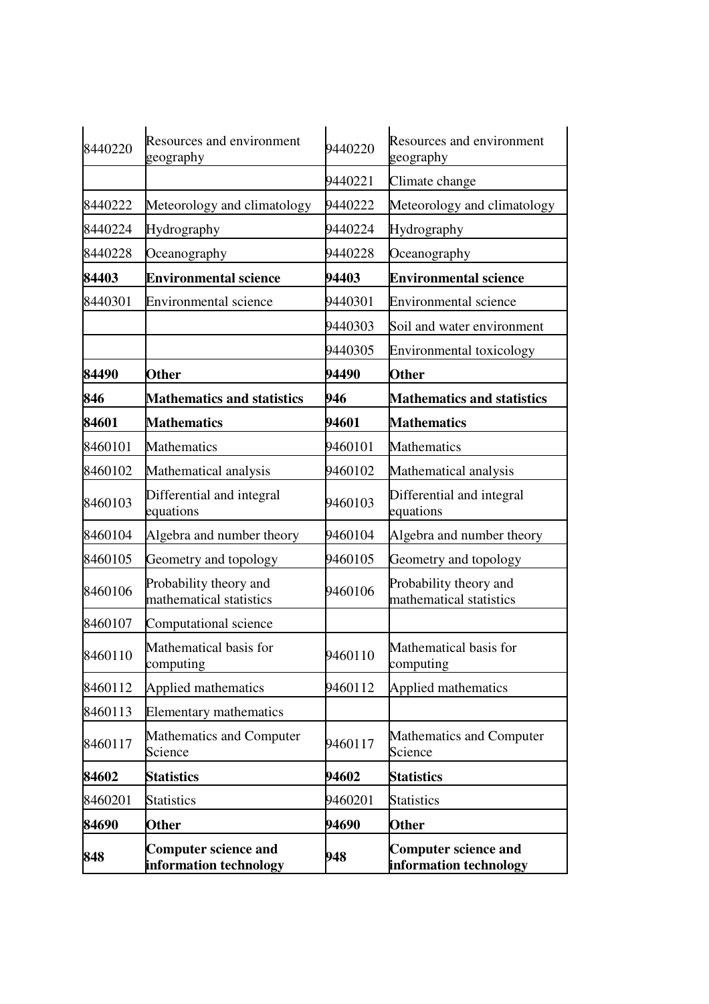| 8440220 | Resources and environment<br>geography                | 9440220 | Resources and environment<br>geography                |
|---------|-------------------------------------------------------|---------|-------------------------------------------------------|
|         |                                                       | 9440221 | Climate change                                        |
| 8440222 | Meteorology and climatology                           | 9440222 | Meteorology and climatology                           |
| 8440224 | Hydrography                                           | 9440224 | Hydrography                                           |
| 8440228 | Oceanography                                          | 9440228 | Oceanography                                          |
| 84403   | <b>Environmental science</b>                          | 94403   | <b>Environmental science</b>                          |
| 8440301 | Environmental science                                 | 9440301 | <b>Environmental science</b>                          |
|         |                                                       | 9440303 | Soil and water environment                            |
|         |                                                       | 9440305 | Environmental toxicology                              |
| 84490   | <b>Other</b>                                          | 94490   | Other                                                 |
| 846     | <b>Mathematics and statistics</b>                     | 946     | <b>Mathematics and statistics</b>                     |
| 84601   | <b>Mathematics</b>                                    | 94601   | <b>Mathematics</b>                                    |
| 8460101 | <b>Mathematics</b>                                    | 9460101 | <b>Mathematics</b>                                    |
| 8460102 | Mathematical analysis                                 | 9460102 | Mathematical analysis                                 |
| 8460103 | Differential and integral<br>equations                | 9460103 | Differential and integral<br>equations                |
| 8460104 | Algebra and number theory                             | 9460104 | Algebra and number theory                             |
| 8460105 | Geometry and topology                                 | 9460105 | Geometry and topology                                 |
| 8460106 | Probability theory and<br>mathematical statistics     | 9460106 | Probability theory and<br>mathematical statistics     |
| 8460107 | Computational science                                 |         |                                                       |
| 8460110 | Mathematical basis for<br>computing                   | 9460110 | Mathematical basis for<br>computing                   |
| 8460112 | Applied mathematics                                   | 9460112 | Applied mathematics                                   |
| 8460113 | <b>Elementary mathematics</b>                         |         |                                                       |
| 8460117 | Mathematics and Computer<br>Science                   | 9460117 | Mathematics and Computer<br>Science                   |
| 84602   | <b>Statistics</b>                                     | 94602   | <b>Statistics</b>                                     |
| 8460201 | <b>Statistics</b>                                     | 9460201 | <b>Statistics</b>                                     |
| 84690   | <b>Other</b>                                          | 94690   | <b>Other</b>                                          |
| 848     | <b>Computer science and</b><br>information technology | 948     | <b>Computer science and</b><br>information technology |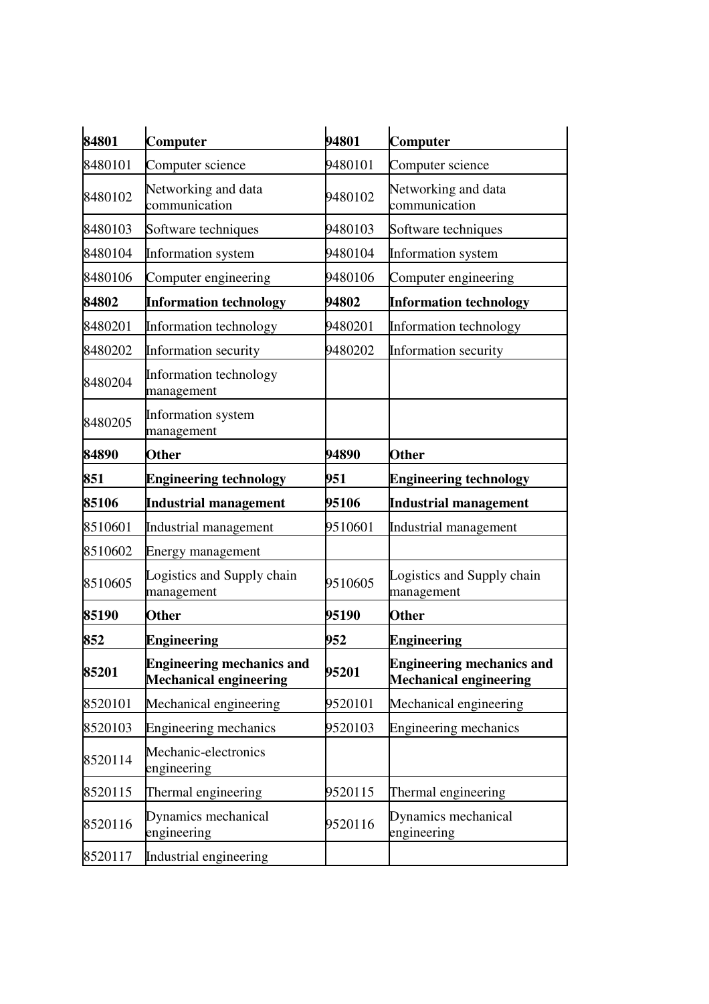| 84801   | Computer                                                          | 94801   | Computer                                                          |
|---------|-------------------------------------------------------------------|---------|-------------------------------------------------------------------|
| 8480101 | Computer science                                                  | 9480101 | Computer science                                                  |
| 8480102 | Networking and data<br>communication                              | 9480102 | Networking and data<br>communication                              |
| 8480103 | Software techniques                                               | 9480103 | Software techniques                                               |
| 8480104 | Information system                                                | 9480104 | Information system                                                |
| 8480106 | Computer engineering                                              | 9480106 | Computer engineering                                              |
| 84802   | <b>Information technology</b>                                     | 94802   | <b>Information technology</b>                                     |
| 8480201 | Information technology                                            | 9480201 | Information technology                                            |
| 8480202 | Information security                                              | 9480202 | Information security                                              |
| 8480204 | Information technology<br>management                              |         |                                                                   |
| 8480205 | Information system<br>management                                  |         |                                                                   |
| 84890   | <b>Other</b>                                                      | 94890   | <b>Other</b>                                                      |
| 851     | <b>Engineering technology</b>                                     | 951     | <b>Engineering technology</b>                                     |
| 85106   | <b>Industrial management</b>                                      | 95106   | <b>Industrial management</b>                                      |
| 8510601 | Industrial management                                             | 9510601 | Industrial management                                             |
| 8510602 | Energy management                                                 |         |                                                                   |
| 8510605 | Logistics and Supply chain<br>management                          | 9510605 | Logistics and Supply chain<br>management                          |
| 85190   | <b>Other</b>                                                      | 95190   | <b>Other</b>                                                      |
| 852     | <b>Engineering</b>                                                | 952     | <b>Engineering</b>                                                |
| 85201   | <b>Engineering mechanics and</b><br><b>Mechanical engineering</b> | 95201   | <b>Engineering mechanics and</b><br><b>Mechanical engineering</b> |
| 8520101 | Mechanical engineering                                            | 9520101 | Mechanical engineering                                            |
| 8520103 | Engineering mechanics                                             | 9520103 | Engineering mechanics                                             |
| 8520114 | Mechanic-electronics<br>engineering                               |         |                                                                   |
| 8520115 | Thermal engineering                                               | 9520115 | Thermal engineering                                               |
| 8520116 | Dynamics mechanical<br>engineering                                | 9520116 | Dynamics mechanical<br>engineering                                |
| 8520117 | Industrial engineering                                            |         |                                                                   |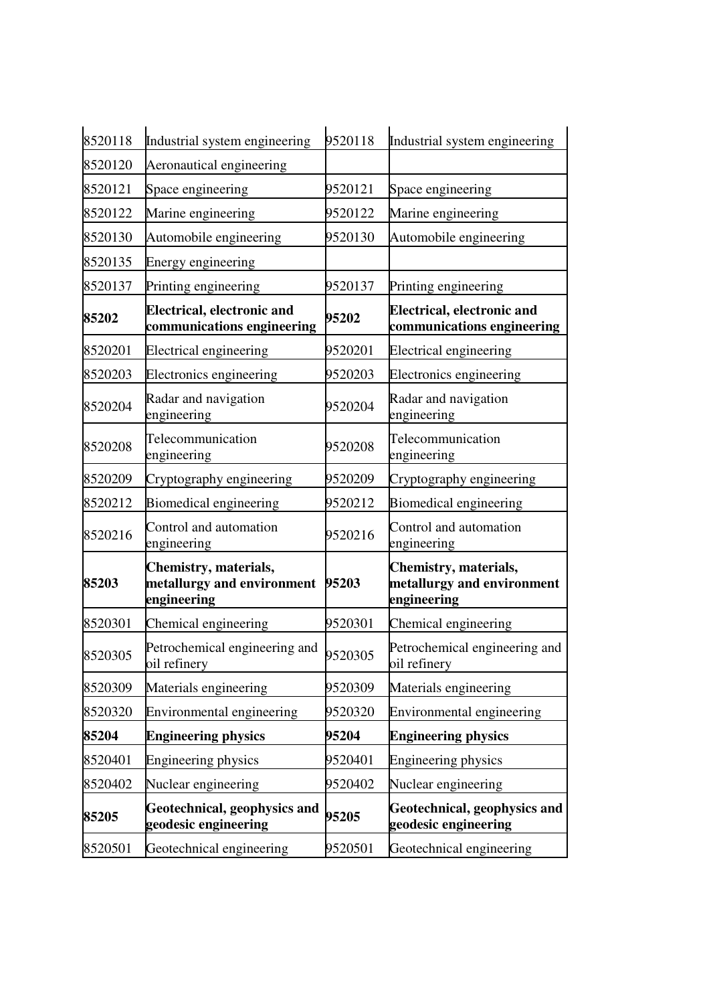| 8520118 | Industrial system engineering                                      | 9520118 | Industrial system engineering                                      |
|---------|--------------------------------------------------------------------|---------|--------------------------------------------------------------------|
| 8520120 | Aeronautical engineering                                           |         |                                                                    |
| 8520121 | Space engineering                                                  | 9520121 | Space engineering                                                  |
| 8520122 | Marine engineering                                                 | 9520122 | Marine engineering                                                 |
| 8520130 | Automobile engineering                                             | 9520130 | Automobile engineering                                             |
| 8520135 | <b>Energy engineering</b>                                          |         |                                                                    |
| 8520137 | Printing engineering                                               | 9520137 | Printing engineering                                               |
| 85202   | <b>Electrical, electronic and</b><br>communications engineering    | 95202   | <b>Electrical, electronic and</b><br>communications engineering    |
| 8520201 | Electrical engineering                                             | 9520201 | <b>Electrical engineering</b>                                      |
| 8520203 | Electronics engineering                                            | 9520203 | Electronics engineering                                            |
| 8520204 | Radar and navigation<br>engineering                                | 9520204 | Radar and navigation<br>engineering                                |
| 8520208 | Telecommunication<br>engineering                                   | 9520208 | Telecommunication<br>engineering                                   |
| 8520209 | Cryptography engineering                                           | 9520209 | Cryptography engineering                                           |
| 8520212 | Biomedical engineering                                             | 9520212 | Biomedical engineering                                             |
| 8520216 | Control and automation<br>engineering                              | 9520216 | Control and automation<br>engineering                              |
| 85203   | Chemistry, materials,<br>metallurgy and environment<br>engineering | 95203   | Chemistry, materials,<br>metallurgy and environment<br>engineering |
| 8520301 | Chemical engineering                                               | 9520301 | Chemical engineering                                               |
| 8520305 | Petrochemical engineering and<br>oil refinery                      | 9520305 | Petrochemical engineering and<br>oil refinery                      |
| 8520309 | Materials engineering                                              | 9520309 | Materials engineering                                              |
| 8520320 | Environmental engineering                                          | 9520320 | Environmental engineering                                          |
| 85204   | <b>Engineering physics</b>                                         | 95204   | <b>Engineering physics</b>                                         |
| 8520401 | Engineering physics                                                | 9520401 | Engineering physics                                                |
| 8520402 | Nuclear engineering                                                | 9520402 | Nuclear engineering                                                |
| 85205   | Geotechnical, geophysics and<br>geodesic engineering               | 95205   | Geotechnical, geophysics and<br>geodesic engineering               |
| 8520501 | Geotechnical engineering                                           | 9520501 | Geotechnical engineering                                           |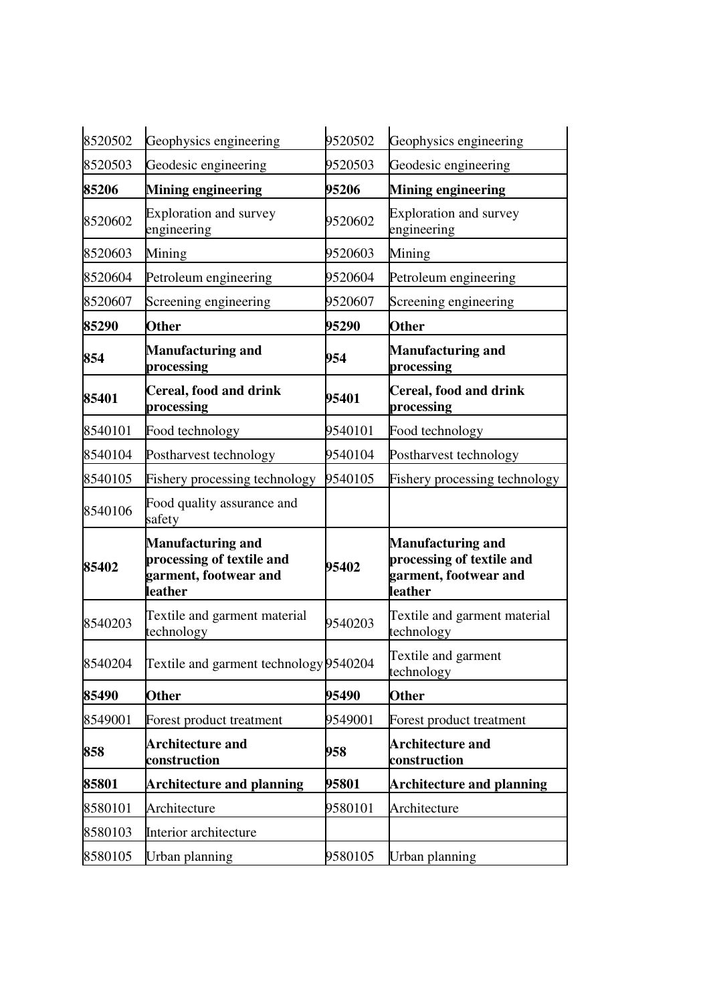| 8520502 | Geophysics engineering                                                                    | 9520502 | Geophysics engineering                                                                    |
|---------|-------------------------------------------------------------------------------------------|---------|-------------------------------------------------------------------------------------------|
| 8520503 | Geodesic engineering                                                                      | 9520503 | Geodesic engineering                                                                      |
| 85206   | <b>Mining engineering</b>                                                                 | 95206   | <b>Mining engineering</b>                                                                 |
| 8520602 | <b>Exploration and survey</b><br>engineering                                              | 9520602 | <b>Exploration and survey</b><br>engineering                                              |
| 8520603 | Mining                                                                                    | 9520603 | Mining                                                                                    |
| 8520604 | Petroleum engineering                                                                     | 9520604 | Petroleum engineering                                                                     |
| 8520607 | Screening engineering                                                                     | 9520607 | Screening engineering                                                                     |
| 85290   | <b>Other</b>                                                                              | 95290   | <b>Other</b>                                                                              |
| 854     | <b>Manufacturing and</b><br>processing                                                    | 954     | <b>Manufacturing and</b><br>processing                                                    |
| 85401   | Cereal, food and drink<br>processing                                                      | 95401   | <b>Cereal, food and drink</b><br>processing                                               |
| 8540101 | Food technology                                                                           | 9540101 | Food technology                                                                           |
| 8540104 | Postharvest technology                                                                    | 9540104 | Postharvest technology                                                                    |
| 8540105 | Fishery processing technology                                                             | 9540105 | Fishery processing technology                                                             |
| 8540106 | Food quality assurance and<br>safety                                                      |         |                                                                                           |
| 85402   | <b>Manufacturing and</b><br>processing of textile and<br>garment, footwear and<br>leather | 95402   | <b>Manufacturing and</b><br>processing of textile and<br>garment, footwear and<br>leather |
| 8540203 | Textile and garment material<br>technology                                                | 9540203 | Textile and garment material<br>technology                                                |
|         | 8540204 Textile and garment technology 9540204                                            |         | Textile and garment<br>technology                                                         |
| 85490   | <b>Other</b>                                                                              | 95490   | <b>Other</b>                                                                              |
| 8549001 | Forest product treatment                                                                  | 9549001 | Forest product treatment                                                                  |
| 858     | <b>Architecture and</b><br>construction                                                   | 958     | <b>Architecture and</b><br>construction                                                   |
| 85801   | <b>Architecture and planning</b>                                                          | 95801   | <b>Architecture and planning</b>                                                          |
| 8580101 | Architecture                                                                              | 9580101 | Architecture                                                                              |
| 8580103 | Interior architecture                                                                     |         |                                                                                           |
| 8580105 | Urban planning                                                                            | 9580105 | Urban planning                                                                            |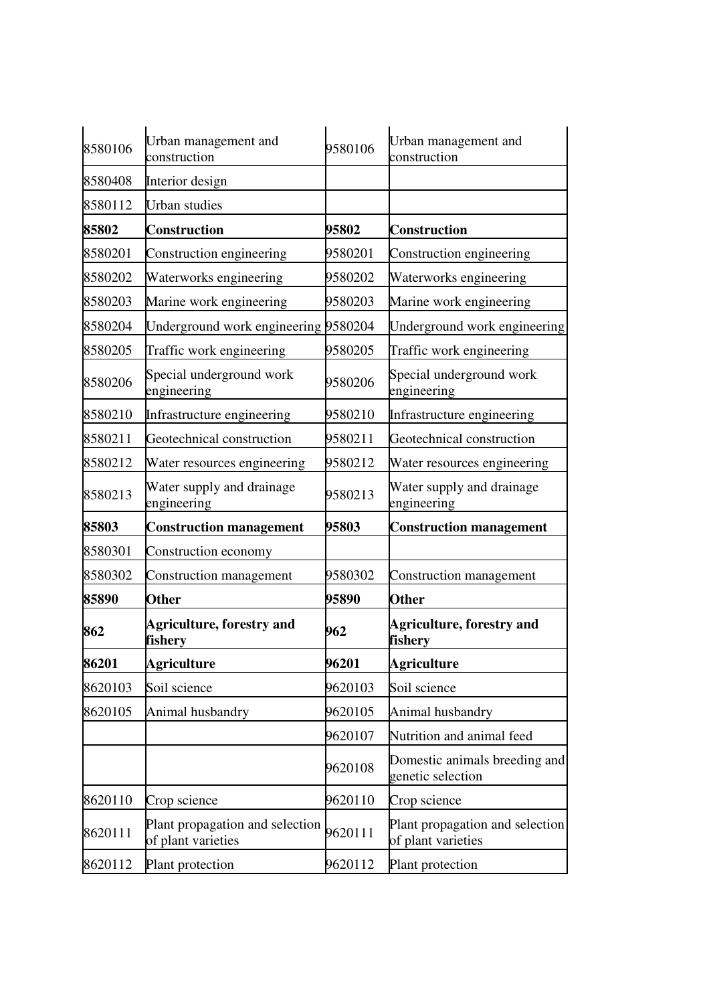| 8580106 | Urban management and<br>construction                  | 9580106 | Urban management and<br>construction                  |
|---------|-------------------------------------------------------|---------|-------------------------------------------------------|
| 8580408 | Interior design                                       |         |                                                       |
| 8580112 | Urban studies                                         |         |                                                       |
| 85802   | <b>Construction</b>                                   | 95802   | <b>Construction</b>                                   |
| 8580201 | Construction engineering                              | 9580201 | Construction engineering                              |
| 8580202 | Waterworks engineering                                | 9580202 | Waterworks engineering                                |
| 8580203 | Marine work engineering                               | 9580203 | Marine work engineering                               |
| 8580204 | Underground work engineering 9580204                  |         | Underground work engineering                          |
| 8580205 | Traffic work engineering                              | 9580205 | Traffic work engineering                              |
| 8580206 | Special underground work<br>engineering               | 9580206 | Special underground work<br>engineering               |
| 8580210 | Infrastructure engineering                            | 9580210 | Infrastructure engineering                            |
| 8580211 | Geotechnical construction                             | 9580211 | Geotechnical construction                             |
| 8580212 | Water resources engineering                           | 9580212 | Water resources engineering                           |
| 8580213 | Water supply and drainage<br>engineering              | 9580213 | Water supply and drainage<br>engineering              |
| 85803   | <b>Construction management</b>                        | 95803   | <b>Construction management</b>                        |
| 8580301 | Construction economy                                  |         |                                                       |
| 8580302 | Construction management                               | 9580302 | Construction management                               |
| 85890   | <b>Other</b>                                          | 95890   | <b>Other</b>                                          |
| 862     | <b>Agriculture, forestry and</b><br>fishery           | 962     | Agriculture, forestry and<br>fishery                  |
| 86201   | Agriculture                                           | 96201   | <b>Agriculture</b>                                    |
| 8620103 | Soil science                                          | 9620103 | Soil science                                          |
| 8620105 | Animal husbandry                                      | 9620105 | Animal husbandry                                      |
|         |                                                       | 9620107 | Nutrition and animal feed                             |
|         |                                                       | 9620108 | Domestic animals breeding and<br>genetic selection    |
| 8620110 | Crop science                                          | 9620110 | Crop science                                          |
| 8620111 | Plant propagation and selection<br>of plant varieties | 9620111 | Plant propagation and selection<br>of plant varieties |
| 8620112 | Plant protection                                      | 9620112 | Plant protection                                      |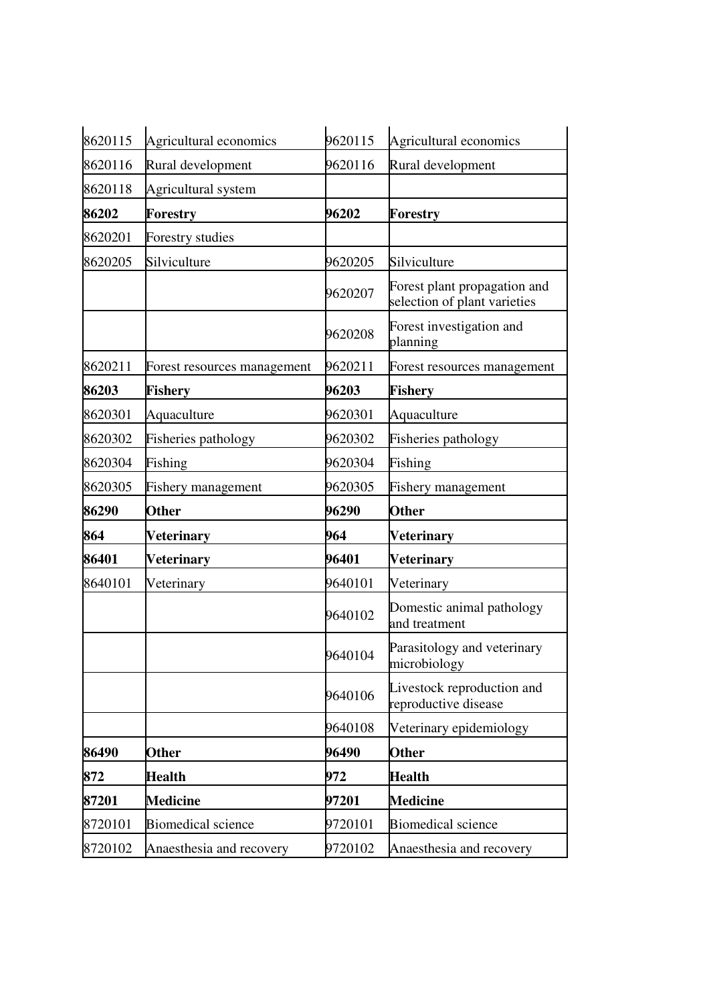| 8620115 | Agricultural economics      | 9620115 | Agricultural economics                                       |
|---------|-----------------------------|---------|--------------------------------------------------------------|
| 8620116 | Rural development           | 9620116 | Rural development                                            |
| 8620118 | Agricultural system         |         |                                                              |
| 86202   | Forestry                    | 96202   | <b>Forestry</b>                                              |
| 8620201 | <b>Forestry studies</b>     |         |                                                              |
| 8620205 | Silviculture                | 9620205 | Silviculture                                                 |
|         |                             | 9620207 | Forest plant propagation and<br>selection of plant varieties |
|         |                             | 9620208 | Forest investigation and<br>planning                         |
| 8620211 | Forest resources management | 9620211 | Forest resources management                                  |
| 86203   | Fishery                     | 96203   | Fishery                                                      |
| 8620301 | Aquaculture                 | 9620301 | Aquaculture                                                  |
| 8620302 | Fisheries pathology         | 9620302 | <b>Fisheries pathology</b>                                   |
| 8620304 | Fishing                     | 9620304 | Fishing                                                      |
| 8620305 | <b>Fishery management</b>   | 9620305 | <b>Fishery management</b>                                    |
| 86290   | <b>Other</b>                | 96290   | <b>Other</b>                                                 |
| 864     | <b>Veterinary</b>           | 964     | <b>Veterinary</b>                                            |
| 86401   | <b>Veterinary</b>           | 96401   | <b>Veterinary</b>                                            |
| 8640101 | Veterinary                  | 9640101 | Veterinary                                                   |
|         |                             | 9640102 | Domestic animal pathology<br>and treatment                   |
|         |                             | 9640104 | Parasitology and veterinary<br>microbiology                  |
|         |                             | 9640106 | Livestock reproduction and<br>reproductive disease           |
|         |                             | 9640108 | Veterinary epidemiology                                      |
| 86490   | <b>Other</b>                | 96490   | <b>Other</b>                                                 |
| 872     | <b>Health</b>               | 972     | <b>Health</b>                                                |
| 87201   | <b>Medicine</b>             | 97201   | <b>Medicine</b>                                              |
| 8720101 |                             |         |                                                              |
|         | <b>Biomedical science</b>   | 9720101 | <b>Biomedical science</b>                                    |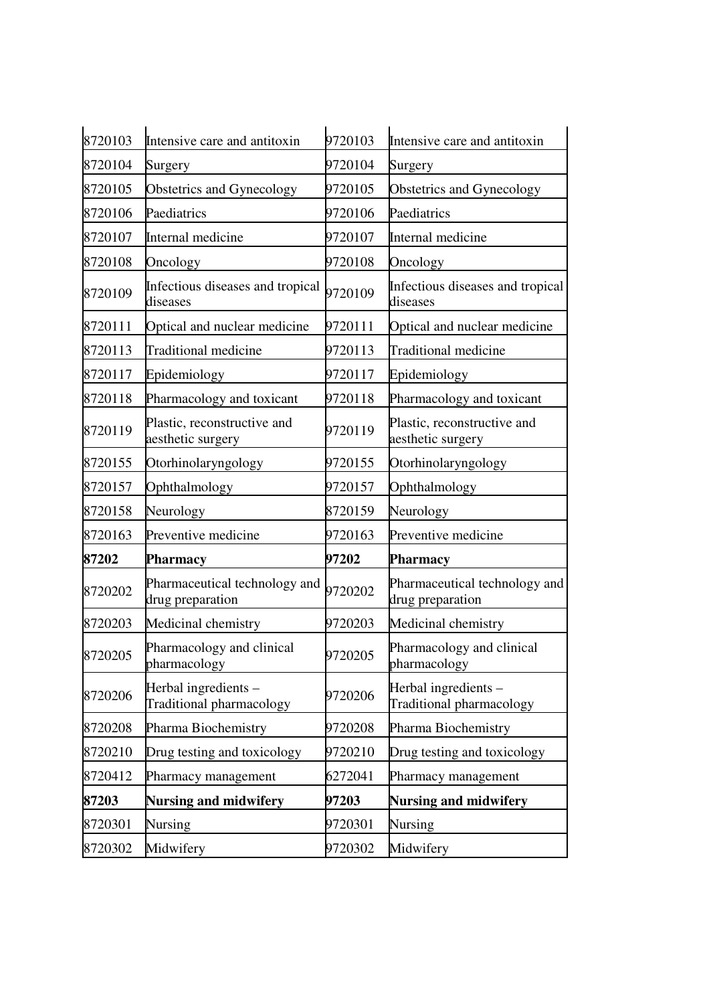| 8720103 | Intensive care and antitoxin                      | 9720103 | Intensive care and antitoxin                      |
|---------|---------------------------------------------------|---------|---------------------------------------------------|
| 8720104 | Surgery                                           | 9720104 | Surgery                                           |
| 8720105 | Obstetrics and Gynecology                         | 9720105 | Obstetrics and Gynecology                         |
| 8720106 | Paediatrics                                       | 9720106 | Paediatrics                                       |
| 8720107 | Internal medicine                                 | 9720107 | Internal medicine                                 |
| 8720108 | Oncology                                          | 9720108 | Oncology                                          |
| 8720109 | Infectious diseases and tropical<br>diseases      | 9720109 | Infectious diseases and tropical<br>diseases      |
| 8720111 | Optical and nuclear medicine                      | 9720111 | Optical and nuclear medicine                      |
| 8720113 | <b>Traditional medicine</b>                       | 9720113 | <b>Traditional medicine</b>                       |
| 8720117 | Epidemiology                                      | 9720117 | Epidemiology                                      |
| 8720118 | Pharmacology and toxicant                         | 9720118 | Pharmacology and toxicant                         |
| 8720119 | Plastic, reconstructive and<br>aesthetic surgery  | 9720119 | Plastic, reconstructive and<br>aesthetic surgery  |
| 8720155 | Otorhinolaryngology                               | 9720155 | Otorhinolaryngology                               |
| 8720157 | Ophthalmology                                     | 9720157 | Ophthalmology                                     |
| 8720158 | Neurology                                         | 8720159 | Neurology                                         |
| 8720163 | Preventive medicine                               | 9720163 | Preventive medicine                               |
| 87202   | Pharmacy                                          | 97202   | Pharmacy                                          |
| 8720202 | Pharmaceutical technology and<br>drug preparation | 9720202 | Pharmaceutical technology and<br>drug preparation |
| 8720203 | Medicinal chemistry                               | 9720203 | Medicinal chemistry                               |
| 8720205 | Pharmacology and clinical<br>pharmacology         | 9720205 | Pharmacology and clinical<br>pharmacology         |
| 8720206 | Herbal ingredients -<br>Traditional pharmacology  | 9720206 | Herbal ingredients -<br>Traditional pharmacology  |
| 8720208 | Pharma Biochemistry                               | 9720208 | Pharma Biochemistry                               |
| 8720210 | Drug testing and toxicology                       | 9720210 | Drug testing and toxicology                       |
| 8720412 | Pharmacy management                               | 6272041 | Pharmacy management                               |
| 87203   | <b>Nursing and midwifery</b>                      | 97203   | <b>Nursing and midwifery</b>                      |
| 8720301 | Nursing                                           | 9720301 | Nursing                                           |
| 8720302 | Midwifery                                         | 9720302 | Midwifery                                         |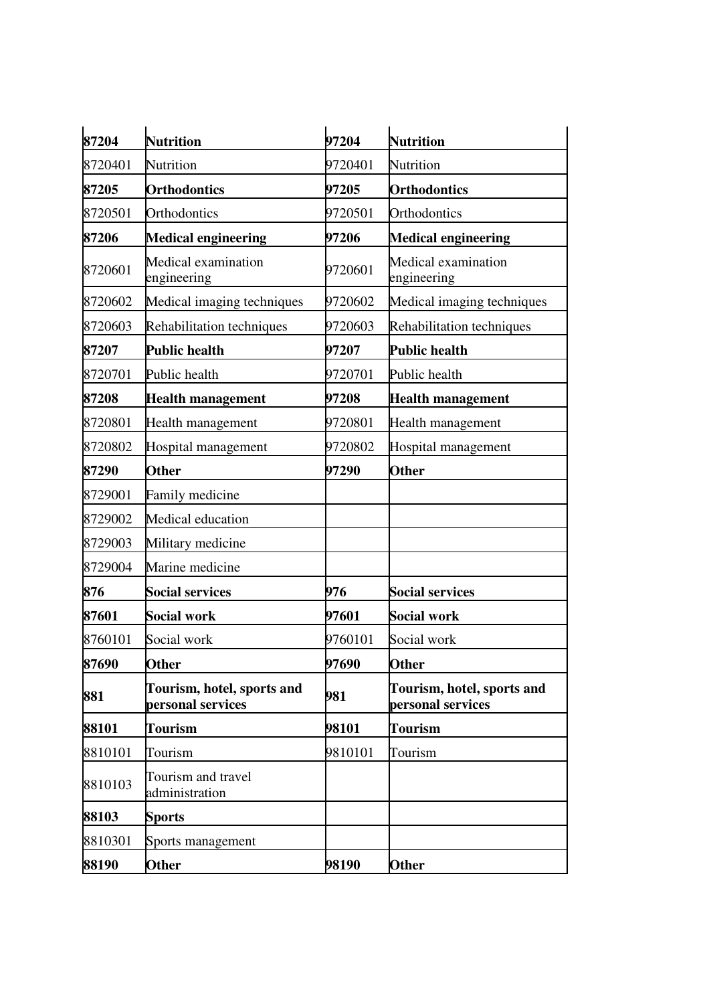| 87204   | <b>Nutrition</b>                                | 97204   | <b>Nutrition</b>                                |
|---------|-------------------------------------------------|---------|-------------------------------------------------|
| 8720401 | Nutrition                                       | 9720401 | Nutrition                                       |
| 87205   | <b>Orthodontics</b>                             | 97205   | <b>Orthodontics</b>                             |
| 8720501 | Orthodontics                                    | 9720501 | Orthodontics                                    |
| 87206   | <b>Medical engineering</b>                      | 97206   | <b>Medical engineering</b>                      |
| 8720601 | Medical examination<br>engineering              | 9720601 | Medical examination<br>engineering              |
| 8720602 | Medical imaging techniques                      | 9720602 | Medical imaging techniques                      |
| 8720603 | Rehabilitation techniques                       | 9720603 | Rehabilitation techniques                       |
| 87207   | <b>Public health</b>                            | 97207   | <b>Public health</b>                            |
| 8720701 | Public health                                   | 9720701 | Public health                                   |
| 87208   | <b>Health management</b>                        | 97208   | <b>Health management</b>                        |
| 8720801 | Health management                               | 9720801 | Health management                               |
| 8720802 | Hospital management                             | 9720802 | Hospital management                             |
| 87290   | <b>Other</b>                                    | 97290   | <b>Other</b>                                    |
| 8729001 | Family medicine                                 |         |                                                 |
| 8729002 | Medical education                               |         |                                                 |
| 8729003 | Military medicine                               |         |                                                 |
| 8729004 | Marine medicine                                 |         |                                                 |
| 876     | <b>Social services</b>                          | 976     | <b>Social services</b>                          |
| 87601   | <b>Social work</b>                              | 97601   | <b>Social work</b>                              |
| 8760101 | Social work                                     | 9760101 | Social work                                     |
| 87690   | <b>Other</b>                                    | 97690   | <b>Other</b>                                    |
| 881     | Tourism, hotel, sports and<br>personal services | 981     | Tourism, hotel, sports and<br>personal services |
| 88101   | <b>Tourism</b>                                  | 98101   | <b>Tourism</b>                                  |
| 8810101 | Tourism                                         | 9810101 | Tourism                                         |
| 8810103 | Tourism and travel<br>administration            |         |                                                 |
| 88103   | <b>Sports</b>                                   |         |                                                 |
| 8810301 | Sports management                               |         |                                                 |
| 88190   | Other                                           | 98190   | <b>Other</b>                                    |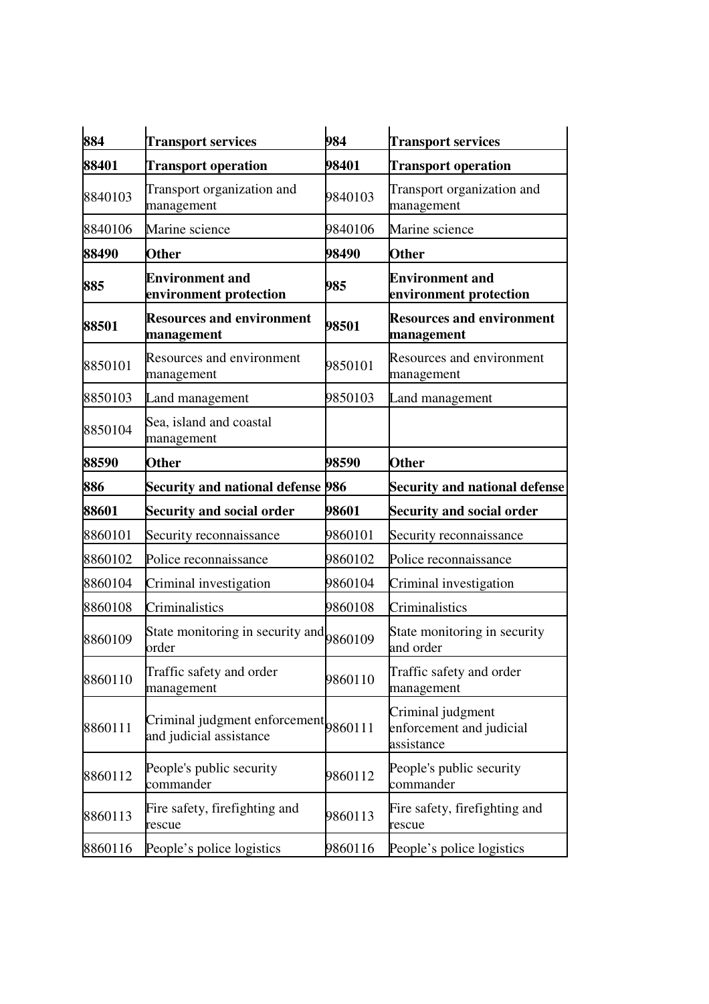| 884     | <b>Transport services</b>                                        | 984     | <b>Transport services</b>                                   |
|---------|------------------------------------------------------------------|---------|-------------------------------------------------------------|
| 88401   | <b>Transport operation</b>                                       | 98401   | <b>Transport operation</b>                                  |
| 8840103 | Transport organization and<br>management                         | 9840103 | Transport organization and<br>management                    |
| 8840106 | Marine science                                                   | 9840106 | Marine science                                              |
| 88490   | <b>Other</b>                                                     | 98490   | <b>Other</b>                                                |
| 885     | <b>Environment and</b><br>environment protection                 | 985     | <b>Environment and</b><br>environment protection            |
| 88501   | <b>Resources and environment</b><br>management                   | 98501   | <b>Resources and environment</b><br>management              |
| 8850101 | Resources and environment<br>management                          | 9850101 | Resources and environment<br>management                     |
| 8850103 | Land management                                                  | 9850103 | Land management                                             |
| 8850104 | Sea, island and coastal<br>management                            |         |                                                             |
| 88590   | <b>Other</b>                                                     | 98590   | <b>Other</b>                                                |
| 886     | Security and national defense 986                                |         | <b>Security and national defense</b>                        |
| 88601   | <b>Security and social order</b>                                 | 98601   | <b>Security and social order</b>                            |
| 8860101 | Security reconnaissance                                          | 9860101 | Security reconnaissance                                     |
| 8860102 | Police reconnaissance                                            | 9860102 | Police reconnaissance                                       |
| 8860104 | Criminal investigation                                           | 9860104 | Criminal investigation                                      |
| 8860108 | Criminalistics                                                   | 9860108 | Criminalistics                                              |
| 8860109 | State monitoring in security and 9860109<br>order                |         | State monitoring in security<br>and order                   |
| 8860110 | Traffic safety and order<br>management                           | 9860110 | Traffic safety and order<br>management                      |
| 8860111 | Criminal judgment enforcement 9860111<br>and judicial assistance |         | Criminal judgment<br>enforcement and judicial<br>assistance |
| 8860112 | People's public security<br>commander                            | 9860112 | People's public security<br>commander                       |
| 8860113 | Fire safety, firefighting and<br>rescue                          | 9860113 | Fire safety, firefighting and<br>rescue                     |
| 8860116 | People's police logistics                                        | 9860116 | People's police logistics                                   |